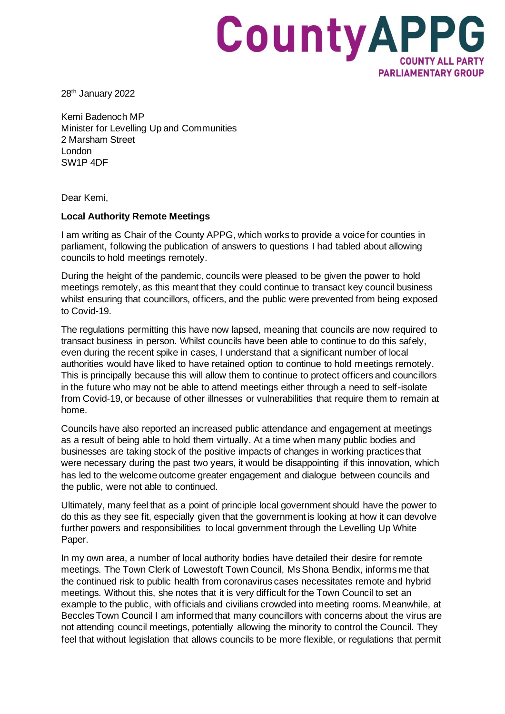

28th January 2022

Kemi Badenoch MP Minister for Levelling Up and Communities 2 Marsham Street London SW1P 4DF

Dear Kemi,

## **Local Authority Remote Meetings**

I am writing as Chair of the County APPG, which works to provide a voice for counties in parliament, following the publication of answers to questions I had tabled about allowing councils to hold meetings remotely.

During the height of the pandemic, councils were pleased to be given the power to hold meetings remotely, as this meant that they could continue to transact key council business whilst ensuring that councillors, officers, and the public were prevented from being exposed to Covid-19.

The regulations permitting this have now lapsed, meaning that councils are now required to transact business in person. Whilst councils have been able to continue to do this safely, even during the recent spike in cases, I understand that a significant number of local authorities would have liked to have retained option to continue to hold meetings remotely. This is principally because this will allow them to continue to protect officers and councillors in the future who may not be able to attend meetings either through a need to self-isolate from Covid-19, or because of other illnesses or vulnerabilities that require them to remain at home.

Councils have also reported an increased public attendance and engagement at meetings as a result of being able to hold them virtually. At a time when many public bodies and businesses are taking stock of the positive impacts of changes in working practices that were necessary during the past two years, it would be disappointing if this innovation, which has led to the welcome outcome greater engagement and dialogue between councils and the public, were not able to continued.

Ultimately, many feel that as a point of principle local government should have the power to do this as they see fit, especially given that the government is looking at how it can devolve further powers and responsibilities to local government through the Levelling Up White Paper.

In my own area, a number of local authority bodies have detailed their desire for remote meetings. The Town Clerk of Lowestoft Town Council, Ms Shona Bendix, informs me that the continued risk to public health from coronavirus cases necessitates remote and hybrid meetings. Without this, she notes that it is very difficult for the Town Council to set an example to the public, with officials and civilians crowded into meeting rooms. Meanwhile, at Beccles Town Council I am informed that many councillors with concerns about the virus are not attending council meetings, potentially allowing the minority to control the Council. They feel that without legislation that allows councils to be more flexible, or regulations that permit